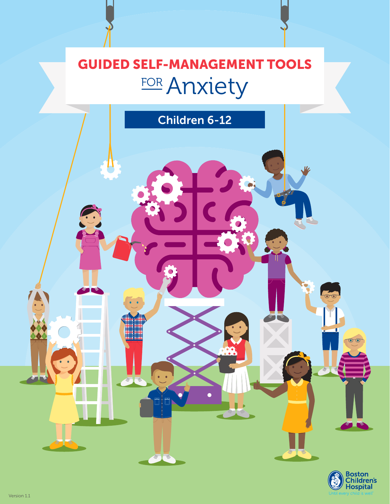# GUIDED SELF-MANAGEMENT TOOLS FOR Anxiety

Children 6-12

多一

 $\circ$ Boston<br>Children's<br>Hospital

 $\overline{\bullet}$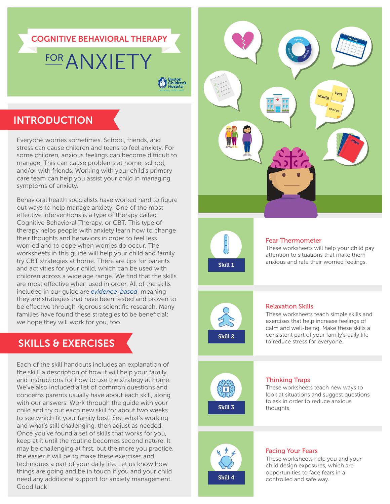#### COGNITIVE BEHAVIORAL THERAPY

# **FOR ANXIETY**

Boston<br>Children's

## INTRODUCTION

Everyone worries sometimes. School, friends, and stress can cause children and teens to feel anxiety. For some children, anxious feelings can become difficult to manage. This can cause problems at home, school, and/or with friends. Working with your child's primary care team can help you assist your child in managing symptoms of anxiety.

Behavioral health specialists have worked hard to figure out ways to help manage anxiety. One of the most effective interventions is a type of therapy called Cognitive Behavioral Therapy, or CBT. This type of therapy helps people with anxiety learn how to change their thoughts and behaviors in order to feel less worried and to cope when worries do occur. The worksheets in this guide will help your child and family try CBT strategies at home. There are tips for parents and activities for your child, which can be used with children across a wide age range. We find that the skills are most effective when used in order. All of the skills included in our guide are *evidence-based*, meaning they are strategies that have been tested and proven to be effective through rigorous scientific research. Many families have found these strategies to be beneficial; we hope they will work for you, too.

## SKILLS & EXERCISES

Each of the skill handouts includes an explanation of the skill, a description of how it will help your family, and instructions for how to use the strategy at home. We've also included a list of common questions and concerns parents usually have about each skill, along with our answers. Work through the guide with your child and try out each new skill for about two weeks to see which fit your family best. See what's working and what's still challenging, then adjust as needed. Once you've found a set of skills that works for you, keep at it until the routine becomes second nature. It may be challenging at first, but the more you practice, the easier it will be to make these exercises and techniques a part of your daily life. Let us know how things are going and be in touch if you and your child need any additional support for anxiety management. Good luck!





#### Fear Thermometer

These worksheets will help your child pay attention to situations that make them anxious and rate their worried feelings.



#### Relaxation Skills

These worksheets teach simple skills and exercises that help increase feelings of calm and well-being. Make these skills a consistent part of your family's daily life to reduce stress for everyone.



#### Thinking Traps

These worksheets teach new ways to look at situations and suggest questions to ask in order to reduce anxious thoughts.



#### Facing Your Fears

These worksheets help you and your child design exposures, which are opportunities to face fears in a controlled and safe way.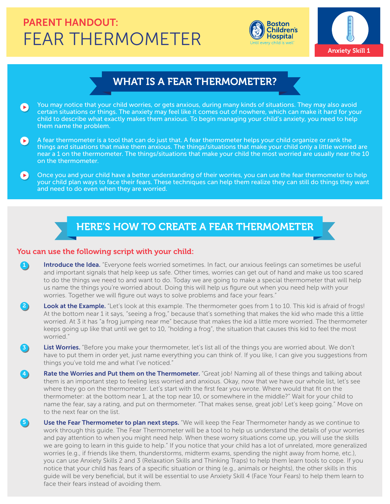## FEAR THERMOMETER PARENT HANDOUT:





### WHAT IS A FEAR THERMOMETER?

- You may notice that your child worries, or gets anxious, during many kinds of situations. They may also avoid certain situations or things. The anxiety may feel like it comes out of nowhere, which can make it hard for your child to describe what exactly makes them anxious. To begin managing your child's anxiety, you need to help them name the problem.
- $\bullet$ A fear thermometer is a tool that can do just that. A fear thermometer helps your child organize or rank the things and situations that make them anxious. The things/situations that make your child only a little worried are near a 1 on the thermometer. The things/situations that make your child the most worried are usually near the 10 on the thermometer.
- Once you and your child have a better understanding of their worries, you can use the fear thermometer to help  $\left( \blacktriangleright \right)$ your child plan ways to face their fears. These techniques can help them realize they can still do things they want and need to do even when they are worried.

## HERE'S HOW TO CREATE A FEAR THERMOMETER

#### You can use the following script with your child:

 $\mathbf{5}$ 

- Introduce the Idea. "Everyone feels worried sometimes. In fact, our anxious feelings can sometimes be useful and important signals that help keep us safe. Other times, worries can get out of hand and make us too scared to do the things we need to and want to do. Today we are going to make a special thermometer that will help us name the things you're worried about. Doing this will help us figure out when you need help with your worries. Together we will figure out ways to solve problems and face your fears."  $\bf{1}$
- Look at the Example. "Let's look at this example. The thermometer goes from 1 to 10. This kid is afraid of frogs! At the bottom near 1 it says, "seeing a frog," because that's something that makes the kid who made this a little worried. At 3 it has "a frog jumping near me" because that makes the kid a little more worried. The thermometer keeps going up like that until we get to 10, "holding a frog", the situation that causes this kid to feel the most worried."  $\mathbf{2}^{\circ}$
- List Worries. "Before you make your thermometer, let's list all of the things you are worried about. We don't have to put them in order yet, just name everything you can think of. If you like, I can give you suggestions from things you've told me and what I've noticed." 33
- Rate the Worries and Put them on the Thermometer. "Great job! Naming all of these things and talking about them is an important step to feeling less worried and anxious. Okay, now that we have our whole list, let's see where they go on the thermometer. Let's start with the first fear you wrote. Where would that fit on the thermometer: at the bottom near 1, at the top near 10, or somewhere in the middle?" Wait for your child to name the fear, say a rating, and put on thermometer. "That makes sense, great job! Let's keep going." Move on to the next fear on the list. 44
	- Use the Fear Thermometer to plan next steps. "We will keep the Fear Thermometer handy as we continue to work through this guide. The Fear Thermometer will be a tool to help us understand the details of your worries and pay attention to when you might need help. When these worry situations come up, you will use the skills we are going to learn in this guide to help." If you notice that your child has a lot of unrelated, more generalized worries (e.g., if friends like them, thunderstorms, midterm exams, spending the night away from home, etc.), you can use Anxiety Skills 2 and 3 (Relaxation Skills and Thinking Traps) to help them learn tools to cope. If you notice that your child has fears of a specific situation or thing (e.g., animals or heights), the other skills in this guide will be very beneficial, but it will be essential to use Anxiety Skill 4 (Face Your Fears) to help them learn to face their fears instead of avoiding them.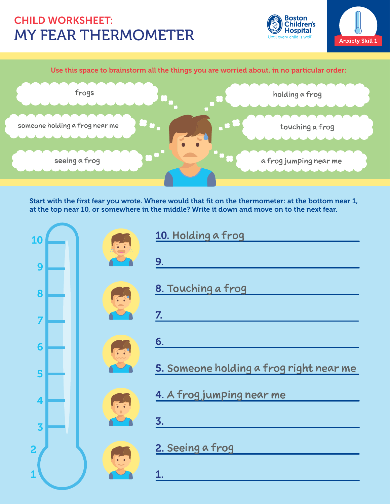## MY FEAR THERMOMETER CHILD WORKSHEET:

Boston **Children's Hospital** rv child is well





Start with the first fear you wrote. Where would that fit on the thermometer: at the bottom near 1, at the top near 10, or somewhere in the middle? Write it down and move on to the next fear.

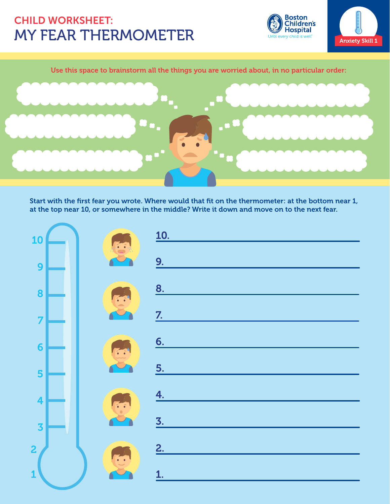## MY FEAR THERMOMETER CHILD WORKSHEET:

**Boston** Doston<br>Children's<br>Hospital child is well



#### Use this space to brainstorm all the things you are worried about, in no particular order:



Start with the first fear you wrote. Where would that fit on the thermometer: at the bottom near 1, at the top near 10, or somewhere in the middle? Write it down and move on to the next fear.

| 10                      |  | <u>10.</u>       |
|-------------------------|--|------------------|
| 9                       |  | 9.               |
| 8                       |  | 8.               |
| $\overline{7}$          |  | $\overline{Z}$ . |
| $6\phantom{a}$          |  | 6.               |
| 5                       |  | 5.               |
|                         |  | 4.               |
| $\overline{\mathbf{4}}$ |  | $\overline{3}$ . |
| $\overline{\mathbf{3}}$ |  | 2.               |
| $\overline{\mathbf{c}}$ |  |                  |
| $\overline{\mathbf{1}}$ |  | 1.               |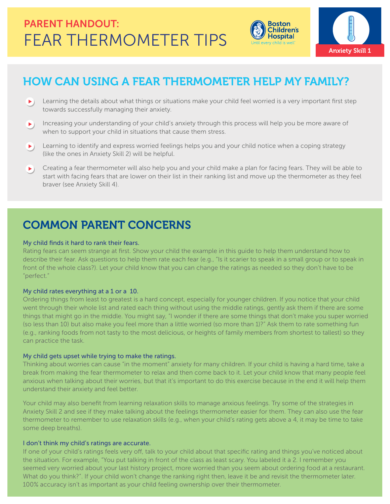



## HOW CAN USING A FEAR THERMOMETER HELP MY FAMILY?

- **Learning the details about what things or situations make your child feel worried is a very important first step** towards successfully managing their anxiety.
- Increasing your understanding of your child's anxiety through this process will help you be more aware of  $\blacktriangleright$ ) when to support your child in situations that cause them stress.
- Learning to identify and express worried feelings helps you and your child notice when a coping strategy  $\blacktriangleright$ ) (like the ones in Anxiety Skill 2) will be helpful.
- **EXT** Creating a fear thermometer will also help you and your child make a plan for facing fears. They will be able to start with facing fears that are lower on their list in their ranking list and move up the thermometer as they feel braver (see Anxiety Skill 4).

## COMMON PARENT CONCERNS

#### My child finds it hard to rank their fears.

Rating fears can seem strange at first. Show your child the example in this guide to help them understand how to describe their fear. Ask questions to help them rate each fear (e.g., "Is it scarier to speak in a small group or to speak in front of the whole class?). Let your child know that you can change the ratings as needed so they don't have to be "perfect."

#### My child rates everything at a 1 or a 10.

Ordering things from least to greatest is a hard concept, especially for younger children. If you notice that your child went through their whole list and rated each thing without using the middle ratings, gently ask them if there are some things that might go in the middle. You might say, "I wonder if there are some things that don't make you super worried (so less than 10) but also make you feel more than a little worried (so more than 1)?" Ask them to rate something fun (e.g., ranking foods from not tasty to the most delicious, or heights of family members from shortest to tallest) so they can practice the task.

#### My child gets upset while trying to make the ratings.

Thinking about worries can cause "in the moment" anxiety for many children. If your child is having a hard time, take a break from making the fear thermometer to relax and then come back to it. Let your child know that many people feel anxious when talking about their worries, but that it's important to do this exercise because in the end it will help them understand their anxiety and feel better.

Your child may also benefit from learning relaxation skills to manage anxious feelings. Try some of the strategies in Anxiety Skill 2 and see if they make talking about the feelings thermometer easier for them. They can also use the fear thermometer to remember to use relaxation skills (e.g., when your child's rating gets above a 4, it may be time to take some deep breaths).

#### I don't think my child's ratings are accurate.

If one of your child's ratings feels very off, talk to your child about that specific rating and things you've noticed about the situation. For example, "You put talking in front of the class as least scary. You labeled it a 2. I remember you seemed very worried about your last history project, more worried than you seem about ordering food at a restaurant. What do you think?". If your child won't change the ranking right then, leave it be and revisit the thermometer later. 100% accuracy isn't as important as your child feeling ownership over their thermometer.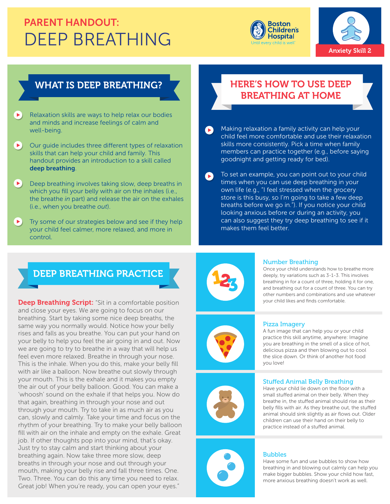## DEEP BREATHING PARENT HANDOUT:





### WHAT IS DEEP BREATHING?

 $\blacktriangleright$ Relaxation skills are ways to help relax our bodies and minds and increase feelings of calm and well-being.

Our quide includes three different types of relaxation  $\blacktriangleright$ skills that can help your child and family. This handout provides an introduction to a skill called deep breathing.

Deep breathing involves taking slow, deep breaths in  $\blacktriangleright$ which you fill your belly with air on the inhales (i.e., the breathe *in* part) and release the air on the exhales (i.e., when you breathe *out*).

Try some of our strategies below and see if they help your child feel calmer, more relaxed, and more in control.

### HERE'S HOW TO USE DEEP BREATHING AT HOME

Making relaxation a family activity can help your child feel more comfortable and use their relaxation skills more consistently. Pick a time when family members can practice together (e.g., before saying goodnight and getting ready for bed).

To set an example, you can point out to your child  $\bullet$ times when you can use deep breathing in your own life (e.g., "I feel stressed when the grocery store is this busy, so I'm going to take a few deep breaths before we go in."). If you notice your child looking anxious before or during an activity, you can also suggest they try deep breathing to see if it makes them feel better.

### DEEP BREATHING PRACTICE

**Deep Breathing Script:** "Sit in a comfortable position and close your eyes. We are going to focus on our breathing. Start by taking some nice deep breaths, the same way you normally would. Notice how your belly rises and falls as you breathe. You can put your hand on your belly to help you feel the air going in and out. Now we are going to try to breathe in a way that will help us feel even more relaxed. Breathe in through your nose. This is the inhale. When you do this, make your belly fill with air like a balloon. Now breathe out slowly through your mouth. This is the exhale and it makes you empty the air out of your belly balloon. Good. You can make a 'whoosh' sound on the exhale if that helps you. Now do that again, breathing in through your nose and out through your mouth. Try to take in as much air as you can, slowly and calmly. Take your time and focus on the rhythm of your breathing. Try to make your belly balloon fill with air on the inhale and empty on the exhale. Great job. If other thoughts pop into your mind, that's okay. Just try to stay calm and start thinking about your breathing again. Now take three more slow, deep breaths in through your nose and out through your mouth, making your belly rise and fall three times. One. Two. Three. You can do this any time you need to relax. Great job! When you're ready, you can open your eyes."



#### Number Breathing

Once your child understands how to breathe more deeply, try variations such as 3-1-3. This involves breathing in for a count of three, holding it for one, and breathing out for a count of three. You can try other numbers and combinations and use whatever your child likes and finds comfortable.

#### Pizza Imagery

A fun image that can help you or your child practice this skill anytime, anywhere: Imagine you are breathing in the smell of a slice of hot, delicious pizza and then blowing out to cool the slice down. Or think of another hot food you love!





#### **Stuffed Animal Belly Breathing**

Have your child lie down on the floor with a small stuffed animal on their belly. When they breathe in, the stuffed animal should rise as their belly fills with air. As they breathe out, the stuffed animal should sink slightly as air flows out. Older children can use their hand on their belly to practice instead of a stuffed animal.

#### Bubbles

Have some fun and use bubbles to show how breathing in and blowing out calmly can help you make bigger bubbles. Show your child how fast, more anxious breathing doesn't work as well.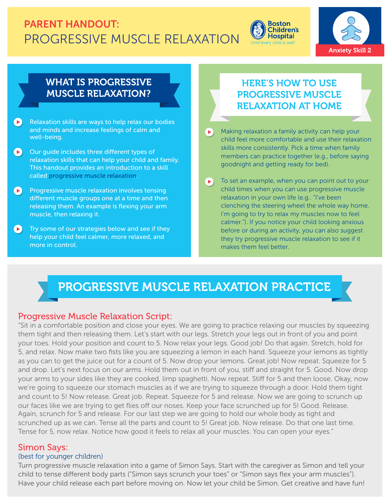## PROGRESSIVE MUSCLE RELAXATION PARENT HANDOUT:





### WHAT IS PROGRESSIVE MUSCLE RELAXATION?

- $\left( \blacktriangleright \right)$ Relaxation skills are ways to help relax our bodies and minds and increase feelings of calm and well-being.
- $\bullet$ Our guide includes three different types of relaxation skills that can help your child and family. This handout provides an introduction to a skill called progressive muscle relaxation.
- **Progressive muscle relaxation involves tensing** different muscle groups one at a time and then releasing them. An example is flexing your arm muscle, then relaxing it.
- Try some of our strategies below and see if they  $\left( \blacktriangleright \right)$ help your child feel calmer, more relaxed, and more in control.

## HERE'S HOW TO USE PROGRESSIVE MUSCLE RELAXATION AT HOME

- Making relaxation a family activity can help your  $\blacktriangleright$ child feel more comfortable and use their relaxation skills more consistently. Pick a time when family members can practice together (e.g., before saying goodnight and getting ready for bed).
- $\blacktriangleright$ To set an example, when you can point out to your child times when you can use progressive muscle relaxation in your own life (e.g.. "I've been clenching the steering wheel the whole way home. I'm going to try to relax my muscles now to feel calmer."). If you notice your child looking anxious before or during an activity, you can also suggest they try progressive muscle relaxation to see if it makes them feel better.

## PROGRESSIVE MUSCLE RELAXATION PRACTICE

### Progressive Muscle Relaxation Script:

"Sit in a comfortable position and close your eyes. We are going to practice relaxing our muscles by squeezing them tight and then releasing them. Let's start with our legs. Stretch your legs out in front of you and point your toes. Hold your position and count to 5. Now relax your legs. Good job! Do that again. Stretch, hold for 5, and relax. Now make two fists like you are squeezing a lemon in each hand. Squeeze your lemons as tightly as you can to get the juice out for a count of 5. Now drop your lemons. Great job! Now repeat. Squeeze for 5 and drop. Let's next focus on our arms. Hold them out in front of you, stiff and straight for 5. Good. Now drop your arms to your sides like they are cooked, limp spaghetti. Now repeat. Stiff for 5 and then loose. Okay, now we're going to squeeze our stomach muscles as if we are trying to squeeze through a door. Hold them tight and count to 5! Now release. Great job. Repeat. Squeeze for 5 and release. Now we are going to scrunch up our faces like we are trying to get flies off our noses. Keep your face scrunched up for 5! Good. Release. Again, scrunch for 5 and release. For our last step we are going to hold our whole body as tight and scrunched up as we can. Tense all the parts and count to 5! Great job. Now release. Do that one last time. Tense for 5, now relax. Notice how good it feels to relax all your muscles. You can open your eyes."

#### Simon Says:

#### (best for younger children)

Turn progressive muscle relaxation into a game of Simon Says. Start with the caregiver as Simon and tell your child to tense different body parts ("Simon says scrunch your toes" or "Simon says flex your arm muscles"). Have your child release each part before moving on. Now let your child be Simon. Get creative and have fun!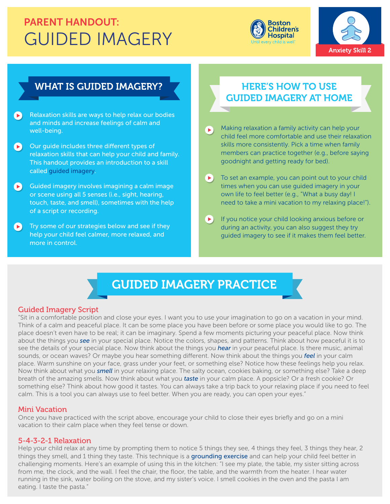## GUIDED IMAGERY PARENT HANDOUT:





### WHAT IS GUIDED IMAGERY? **WHAT IS GUIDED IMAGERY? WHAT IS GUIDED**

- Relaxation skills are ways to help relax our bodies  $\begin{bmatrix} \mathbf{r} \end{bmatrix}$ and minds and increase feelings of calm and well-being.
- $\bullet$ Our guide includes three different types of relaxation skills that can help your child and family. This handout provides an introduction to a skill called guided imagery.
- $\bullet$ Guided imagery involves imagining a calm image or scene using all 5 senses (i.e., sight, hearing, touch, taste, and smell), sometimes with the help of a script or recording.
- $\left( \blacktriangleright \right)$ Try some of our strategies below and see if they help your child feel calmer, more relaxed, and more in control.

# GUIDED IMAGERY AT HOME

- Making relaxation a family activity can help your E child feel more comfortable and use their relaxation skills more consistently. Pick a time when family members can practice together (e.g., before saying goodnight and getting ready for bed).
- To set an example, you can point out to your child  $\blacktriangleright$ times when you can use guided imagery in your own life to feel better (e.g., "What a busy day! I need to take a mini vacation to my relaxing place!").
- If you notice your child looking anxious before or  $(\blacktriangleright)$ during an activity, you can also suggest they try guided imagery to see if it makes them feel better.

## GUIDED IMAGERY PRACTICE

#### Guided Imagery Script

"Sit in a comfortable position and close your eyes. I want you to use your imagination to go on a vacation in your mind. Think of a calm and peaceful place. It can be some place you have been before or some place you would like to go. The place doesn't even have to be real; it can be imaginary. Spend a few moments picturing your peaceful place. Now think about the things you *see* in your special place. Notice the colors, shapes, and patterns. Think about how peaceful it is to see the details of your special place. Now think about the things you *hear* in your peaceful place. Is there music, animal sounds, or ocean waves? Or maybe you hear something different. Now think about the things you *feel* in your calm place. Warm sunshine on your face, grass under your feet, or something else? Notice how these feelings help you relax. Now think about what you *smell* in your relaxing place. The salty ocean, cookies baking, or something else? Take a deep breath of the amazing smells. Now think about what you *taste* in your calm place. A popsicle? Or a fresh cookie? Or something else? Think about how good it tastes. You can always take a trip back to your relaxing place if you need to feel calm. This is a tool you can always use to feel better. When you are ready, you can open your eyes."

#### Mini Vacation

Once you have practiced with the script above, encourage your child to close their eyes briefly and go on a mini vacation to their calm place when they feel tense or down.

#### 5-4-3-2-1 Relaxation

Help your child relax at any time by prompting them to notice 5 things they see, 4 things they feel, 3 things they hear, 2 things they smell, and 1 thing they taste. This technique is a grounding exercise and can help your child feel better in challenging moments. Here's an example of using this in the kitchen: "I see my plate, the table, my sister sitting across from me, the clock, and the wall. I feel the chair, the floor, the table, and the warmth from the heater. I hear water running in the sink, water boiling on the stove, and my sister's voice. I smell cookies in the oven and the pasta I am eating. I taste the pasta."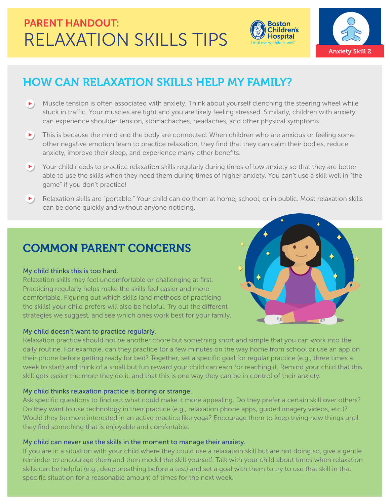

 $116$ 



## HOW CAN RELAXATION SKILLS HELP MY FAMILY?

- $\blacktriangleright$ ) Muscle tension is often associated with anxiety. Think about yourself clenching the steering wheel while stuck in traffic. Your muscles are tight and you are likely feeling stressed. Similarly, children with anxiety can experience shoulder tension, stomachaches, headaches, and other physical symptoms.
- $\blacktriangleright$ ) This is because the mind and the body are connected. When children who are anxious or feeling some other negative emotion learn to practice relaxation, they find that they can calm their bodies, reduce anxiety, improve their sleep, and experience many other benefits.
- Your child needs to practice relaxation skills regularly during times of low anxiety so that they are better able to use the skills when they need them during times of higher anxiety. You can't use a skill well in "the game" if you don't practice!
- Relaxation skills are "portable." Your child can do them at home, school, or in public. Most relaxation skills can be done quickly and without anyone noticing.

## COMMON PARENT CONCERNS

#### My child thinks this is too hard.

Relaxation skills may feel uncomfortable or challenging at first. Practicing regularly helps make the skills feel easier and more comfortable. Figuring out which skills (and methods of practicing the skills) your child prefers will also be helpful. Try out the different strategies we suggest, and see which ones work best for your family.

#### My child doesn't want to practice regularly.

Relaxation practice should not be another chore but something short and simple that you can work into the daily routine. For example, can they practice for a few minutes on the way home from school or use an app on their phone before getting ready for bed? Together, set a specific goal for regular practice (e.g., three times a week to start) and think of a small but fun reward your child can earn for reaching it. Remind your child that this skill gets easier the more they do it, and that this is one way they can be in control of their anxiety.

#### My child thinks relaxation practice is boring or strange.

Ask specific questions to find out what could make it more appealing. Do they prefer a certain skill over others? Do they want to use technology in their practice (e.g., relaxation phone apps, guided imagery videos, etc.)? Would they be more interested in an active practice like yoga? Encourage them to keep trying new things until they find something that is enjoyable and comfortable.

#### My child can never use the skills in the moment to manage their anxiety.

If you are in a situation with your child where they could use a relaxation skill but are not doing so, give a gentle reminder to encourage them and then model the skill yourself. Talk with your child about times when relaxation skills can be helpful (e.g., deep breathing before a test) and set a goal with them to try to use that skill in that specific situation for a reasonable amount of times for the next week.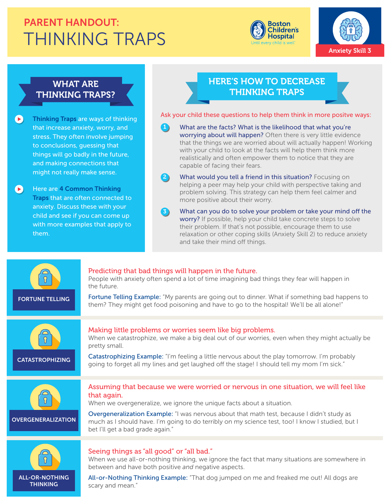## THINKING TRAPS PARENT HANDOUT:





### WHAT ARE THINKING TRAPS?

 $\left( \blacktriangleright \right)$ Thinking Traps are ways of thinking that increase anxiety, worry, and stress. They often involve jumping to conclusions, guessing that things will go badly in the future, and making connections that might not really make sense.

Here are 4 Common Thinking  $\bullet$ Traps that are often connected to anxiety. Discuss these with your child and see if you can come up with more examples that apply to them.

scary and mean."

### HERE'S HOW TO DECREASE THINKING TRAPS

Ask your child these questions to help them think in more positve ways:

- What are the facts? What is the likelihood that what you're worrying about will happen? Often there is very little evidence that the things we are worried about will actually happen! Working with your child to look at the facts will help them think more realistically and often empower them to notice that they are capable of facing their fears.  $\blacksquare$
- What would you tell a friend in this situation? Focusing on helping a peer may help your child with perspective taking and problem solving. This strategy can help them feel calmer and more positive about their worry.  $\mathbf{2}$
- What can you do to solve your problem or take your mind off the worry? If possible, help your child take concrete steps to solve their problem. If that's not possible, encourage them to use relaxation or other coping skills (Anxiety Skill 2) to reduce anxiety and take their mind off things. 33

| <b>FORTUNE TELLING</b>                   | Predicting that bad things will happen in the future.<br>People with anxiety often spend a lot of time imagining bad things they fear will happen in<br>the future.<br>Fortune Telling Example: "My parents are going out to dinner. What if something bad happens to<br>them? They might get food poisoning and have to go to the hospital! We'll be all alone!"                                                  |
|------------------------------------------|--------------------------------------------------------------------------------------------------------------------------------------------------------------------------------------------------------------------------------------------------------------------------------------------------------------------------------------------------------------------------------------------------------------------|
| <b>CATASTROPHIZING</b>                   | Making little problems or worries seem like big problems.<br>When we catastrophize, we make a big deal out of our worries, even when they might actually be<br>pretty small.<br>Catastrophizing Example: "I'm feeling a little nervous about the play tomorrow. I'm probably<br>going to forget all my lines and get laughed off the stage! I should tell my mom I'm sick."                                        |
| <b>OVERGENERALIZATION</b>                | Assuming that because we were worried or nervous in one situation, we will feel like<br>that again.<br>When we overgeneralize, we ignore the unique facts about a situation.<br>Overgeneralization Example: "I was nervous about that math test, because I didn't study as<br>much as I should have. I'm going to do terribly on my science test, too! I know I studied, but I<br>bet l'Il get a bad grade again." |
| <b>ALL-OR-NOTHING</b><br><b>THINKING</b> | Seeing things as "all good" or "all bad."<br>When we use all-or-nothing thinking, we ignore the fact that many situations are somewhere in<br>between and have both positive and negative aspects.<br>All-or-Nothing Thinking Example: "That dog jumped on me and freaked me out! All dogs are<br>scary and mean"                                                                                                  |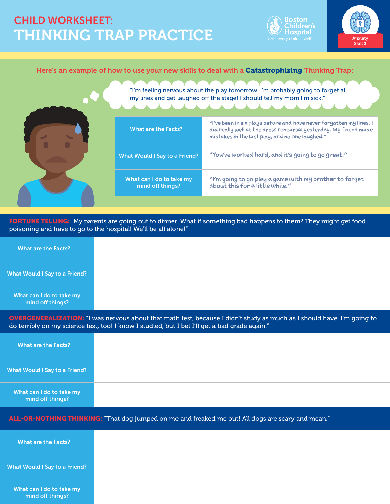## THINKING TRAP PRACTICE CHILD WORKSHEET:





#### Here's an example of how to use your new skills to deal with a Catastrophizing Thinking Trap:

| "I'm feeling nervous about the play tomorrow. I'm probably going to forget all<br>my lines and get laughed off the stage! I should tell my mom I'm sick." |                                                                                                                                                                                            |  |  |
|-----------------------------------------------------------------------------------------------------------------------------------------------------------|--------------------------------------------------------------------------------------------------------------------------------------------------------------------------------------------|--|--|
| <b>What are the Facts?</b>                                                                                                                                | "I've been in six plays before and have never forgotten my lines. I<br>did really well at the dress rehearsal yesterday. My friend made<br>mistakes in the last play, and no one laughed." |  |  |
| <b>What Would I Say to a Friend?</b>                                                                                                                      | "You've worked hard, and it's going to go great!"                                                                                                                                          |  |  |
| What can I do to take my<br>mind off things?                                                                                                              | "I'm going to go play a game with my brother to forget<br>about this for a little while."                                                                                                  |  |  |
|                                                                                                                                                           |                                                                                                                                                                                            |  |  |

FORTUNE TELLING: "My parents are going out to dinner. What if something bad happens to them? They might get food poisoning and have to go to the hospital! We'll be all alone!"

| What are the Facts?                          |  |
|----------------------------------------------|--|
| What Would I Say to a Friend?                |  |
| What can I do to take my<br>mind off things? |  |

OVERGENERALIZATION: "I was nervous about that math test, because I didn't study as much as I should have. I'm going to do terribly on my science test, too! I know I studied, but I bet I'll get a bad grade again."

| What are the Facts?                          |  |
|----------------------------------------------|--|
| What Would I Say to a Friend?                |  |
| What can I do to take my<br>mind off things? |  |

#### ALL-OR-NOTHING THINKING: "That dog jumped on me and freaked me out! All dogs are scary and mean."

| What are the Facts?                          |  |
|----------------------------------------------|--|
| <b>What Would I Say to a Friend?</b>         |  |
| What can I do to take my<br>mind off things? |  |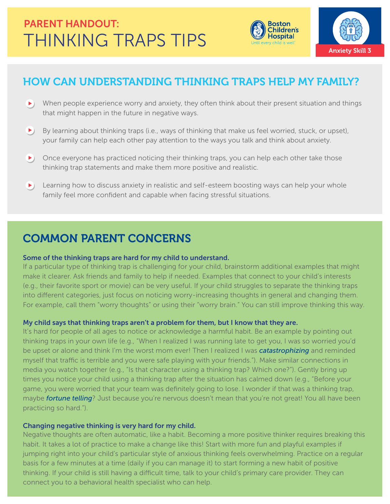



## HOW CAN UNDERSTANDING THINKING TRAPS HELP MY FAMILY?

- When people experience worry and anxiety, they often think about their present situation and things that might happen in the future in negative ways.
- $\blacktriangleright$ ) By learning about thinking traps (i.e., ways of thinking that make us feel worried, stuck, or upset), your family can help each other pay attention to the ways you talk and think about anxiety.
- $\blacktriangleright$  Once everyone has practiced noticing their thinking traps, you can help each other take those thinking trap statements and make them more positive and realistic.
- **EXT** Learning how to discuss anxiety in realistic and self-esteem boosting ways can help your whole family feel more confident and capable when facing stressful situations.

## COMMON PARENT CONCERNS

#### Some of the thinking traps are hard for my child to understand.

If a particular type of thinking trap is challenging for your child, brainstorm additional examples that might make it clearer. Ask friends and family to help if needed. Examples that connect to your child's interests (e.g., their favorite sport or movie) can be very useful. If your child struggles to separate the thinking traps into different categories, just focus on noticing worry-increasing thoughts in general and changing them. For example, call them "worry thoughts" or using their "worry brain." You can still improve thinking this way.

#### My child says that thinking traps aren't a problem for them, but I know that they are.

It's hard for people of all ages to notice or acknowledge a harmful habit. Be an example by pointing out thinking traps in your own life (e.g., "When I realized I was running late to get you, I was so worried you'd be upset or alone and think I'm the worst mom ever! Then I realized I was *catastrophizing* and reminded myself that traffic is terrible and you were safe playing with your friends."). Make similar connections in media you watch together (e.g., "Is that character using a thinking trap? Which one?"). Gently bring up times you notice your child using a thinking trap after the situation has calmed down (e.g., "Before your game, you were worried that your team was definitely going to lose. I wonder if that was a thinking trap, maybe *fortune telling*? Just because you're nervous doesn't mean that you're not great! You all have been practicing so hard.").

#### Changing negative thinking is very hard for my child.

Negative thoughts are often automatic, like a habit. Becoming a more positive thinker requires breaking this habit. It takes a lot of practice to make a change like this! Start with more fun and playful examples if jumping right into your child's particular style of anxious thinking feels overwhelming. Practice on a regular basis for a few minutes at a time (daily if you can manage it) to start forming a new habit of positive thinking. If your child is still having a difficult time, talk to your child's primary care provider. They can connect you to a behavioral health specialist who can help.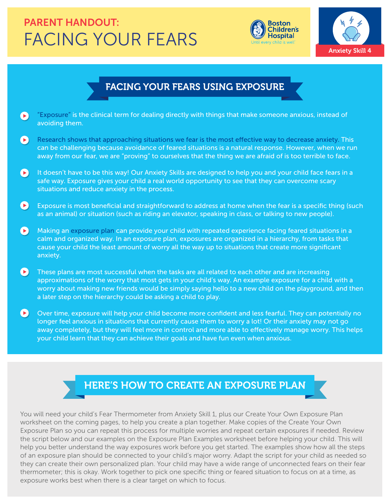## FACING YOUR FEARS PARENT HANDOUT:





## FACING YOUR FEARS USING EXPOSURE

- $\bullet$ "Exposure" is the clinical term for dealing directly with things that make someone anxious, instead of avoiding them.
- $\bullet$ Research shows that approaching situations we fear is the most effective way to decrease anxiety. This can be challenging because avoidance of feared situations is a natural response. However, when we run away from our fear, we are "proving" to ourselves that the thing we are afraid of is too terrible to face.
- $\bullet$ It doesn't have to be this way! Our Anxiety Skills are designed to help you and your child face fears in a safe way. Exposure gives your child a real world opportunity to see that they can overcome scary situations and reduce anxiety in the process.
- $\left( \blacktriangleright \right)$ Exposure is most beneficial and straightforward to address at home when the fear is a specific thing (such as an animal) or situation (such as riding an elevator, speaking in class, or talking to new people).
- Making an exposure plan can provide your child with repeated experience facing feared situations in a calm and organized way. In an exposure plan, exposures are organized in a hierarchy, from tasks that cause your child the least amount of worry all the way up to situations that create more significant anxiety.
- $\left( \blacktriangleright \right)$ These plans are most successful when the tasks are all related to each other and are increasing approximations of the worry that most gets in your child's way. An example exposure for a child with a worry about making new friends would be simply saying hello to a new child on the playground, and then a later step on the hierarchy could be asking a child to play.
- $\bullet$ Over time, exposure will help your child become more confident and less fearful. They can potentially no longer feel anxious in situations that currently cause them to worry a lot! Or their anxiety may not go away completely, but they will feel more in control and more able to effectively manage worry. This helps your child learn that they can achieve their goals and have fun even when anxious.

## HERE'S HOW TO CREATE AN EXPOSURE PLAN

You will need your child's Fear Thermometer from Anxiety Skill 1, plus our Create Your Own Exposure Plan worksheet on the coming pages, to help you create a plan together. Make copies of the Create Your Own Exposure Plan so you can repeat this process for multiple worries and repeat certain exposures if needed. Review the script below and our examples on the Exposure Plan Examples worksheet before helping your child. This will help you better understand the way exposures work before you get started. The examples show how all the steps of an exposure plan should be connected to your child's major worry. Adapt the script for your child as needed so they can create their own personalized plan. Your child may have a wide range of unconnected fears on their fear thermometer; this is okay. Work together to pick one specific thing or feared situation to focus on at a time, as exposure works best when there is a clear target on which to focus.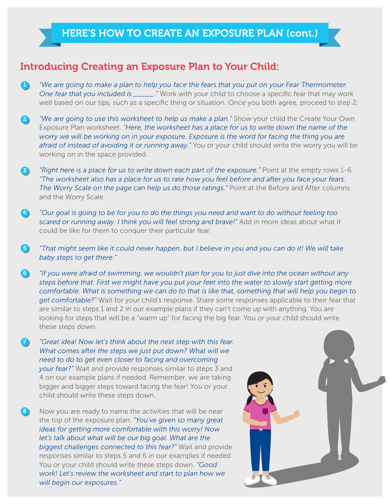### Introducing Creating an Exposure Plan to Your Child:

*"We are going to make a plan to help you face the fears that you put on your Fear Thermometer. One fear that you included is \_\_\_\_\_."* Work with your child to choose a specific fear that may work well based on our tips, such as a specific thing or situation. Once you both agree, proceed to step 2.  $\blacksquare$ 

*"We are going to use this worksheet to help us make a plan."* Show your child the Create Your Own Exposure Plan worksheet. *"Here, the worksheet has a place for us to write down the name of the worry we will be working on in your exposure. Exposure is the word for facing the thing you are afraid of instead of avoiding it or running away."* You or your child should write the worry you will be working on in the space provided. 2)

- *"Right here is a place for us to write down each part of the exposure."* Point at the empty rows 1-6. *"The worksheet also has a place for us to rate how you feel before and after you face your fears.*  The Worry Scale on the page can help us do those ratings." Point at the Before and After columns and the Worry Scale. 3
- *"Our goal is going to be for you to do the things you need and want to do without feeling too scared or running away. I think you will feel strong and brave!"* Add in more ideas about what it could be like for them to conquer their particular fear. 4

*"That might seem like it could never happen, but I believe in you and you can do it! We will take baby steps to get there."* 6)

*"If you were afraid of swimming, we wouldn't plan for you to just dive into the ocean without any steps before that. First we might have you put your feet into the water to slowly start getting more comfortable. What is something we can do to that is like that, something that will help you begin to get comfortable?"* Wait for your child's response. Share some responses applicable to their fear that are similar to steps 1 and 2 in our example plans if they can't come up with anything. You are looking for steps that will be a "warm up" for facing the big fear. You or your child should write these steps down. 6

0 *"Great idea! Now let's think about the next step with this fear. What comes after the steps we just put down? What will we need to do to get even closer to facing and overcoming your fear?"* Wait and provide responses similar to steps 3 and 4 on our example plans if needed. Remember, we are taking bigger and bigger steps toward facing the fear! You or your child should write these steps down.

 $\left(3\right)$ Now you are ready to name the activities that will be near the top of the exposure plan. *"You've given so many great ideas for getting more comfortable with this worry! Now*  let's talk about what will be our big goal. What are the *biggest challenges connected to this fear?"* Wait and provide responses similar to steps 5 and 6 in our examples if needed. You or your child should write these steps down. *"Good work! Let's review the worksheet and start to plan how we will begin our exposures."*

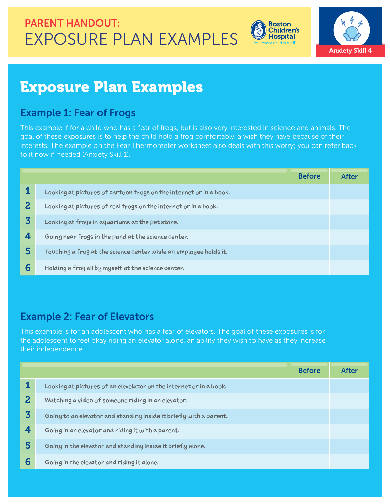EXPOSURE PLAN EXAMPLES PARENT HANDOUT:





## Exposure Plan Examples

### Example 1: Fear of Frogs

This example if for a child who has a fear of frogs, but is also very interested in science and animals. The goal of these exposures is to help the child hold a frog comfortably, a wish they have because of their interests. The example on the Fear Thermometer worksheet also deals with this worry; you can refer back to it now if needed (Anxiety Skill 1).

|   |                                                                    | <b>Before</b> | After |
|---|--------------------------------------------------------------------|---------------|-------|
|   | Looking at pictures of cartoon frogs on the internet or in a book. |               |       |
| 2 | Looking at pictures of real frogs on the internet or in a book.    |               |       |
| 3 | Looking at frogs in aquariums at the pet store.                    |               |       |
| 4 | Going near frogs in the pond at the science center.                |               |       |
| 5 | Touching a frog at the science center while an employee holds it.  |               |       |
| 6 | Holding a frog all by myself at the science center.                |               |       |

## Example 2: Fear of Elevators

This example is for an adolescent who has a fear of elevators. The goal of these exposures is for the adolescent to feel okay riding an elevator alone, an ability they wish to have as they increase their independence.

|              |                                                                    | <b>Before</b> | After |
|--------------|--------------------------------------------------------------------|---------------|-------|
|              | Looking at pictures of an elevelator on the internet or in a book. |               |       |
| $\mathbf{2}$ | Watching a video of someone riding in an elevator.                 |               |       |
| 3            | Going to an elevator and standing inside it briefly with a parent. |               |       |
| 4            | Going in an elevator and riding it with a parent.                  |               |       |
| 5            | Going in the elevator and standing inside it briefly alone.        |               |       |
| 6            | Going in the elevator and riding it alone.                         |               |       |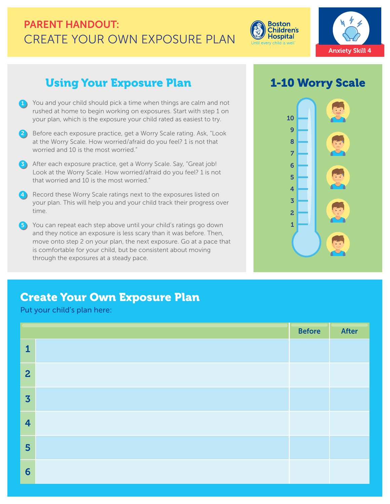## CREATE YOUR OWN EXPOSURE PLAN PARENT HANDOUT:



## Using Your Exposure Plan 1-10 Worry Scale

- 1) You and your child should pick a time when things are calm and not rushed at home to begin working on exposures. Start with step 1 on your plan, which is the exposure your child rated as easiest to try.
- Before each exposure practice, get a Worry Scale rating. Ask, "Look at the Worry Scale. How worried/afraid do you feel? 1 is not that worried and 10 is the most worried."  $\overline{c}$
- 3) After each exposure practice, get a Worry Scale. Say, "Great job! Look at the Worry Scale. How worried/afraid do you feel? 1 is not that worried and 10 is the most worried."
- Record these Worry Scale ratings next to the exposures listed on your plan. This will help you and your child track their progress over time.  $\overline{4}$
- You can repeat each step above until your child's ratings go down and they notice an exposure is less scary than it was before. Then, move onto step 2 on your plan, the next exposure. Go at a pace that is comfortable for your child, but be consistent about moving through the exposures at a steady pace. 55

**Boston Children's Hospital** l every child is well



## Create Your Own Exposure Plan

Put your child's plan here:

|                         | <b>Before</b> | After |
|-------------------------|---------------|-------|
| $\mathbf{1}$            |               |       |
| $\overline{2}$          |               |       |
| $\overline{\mathbf{3}}$ |               |       |
| $\overline{4}$          |               |       |
| 5                       |               |       |
| 6                       |               |       |